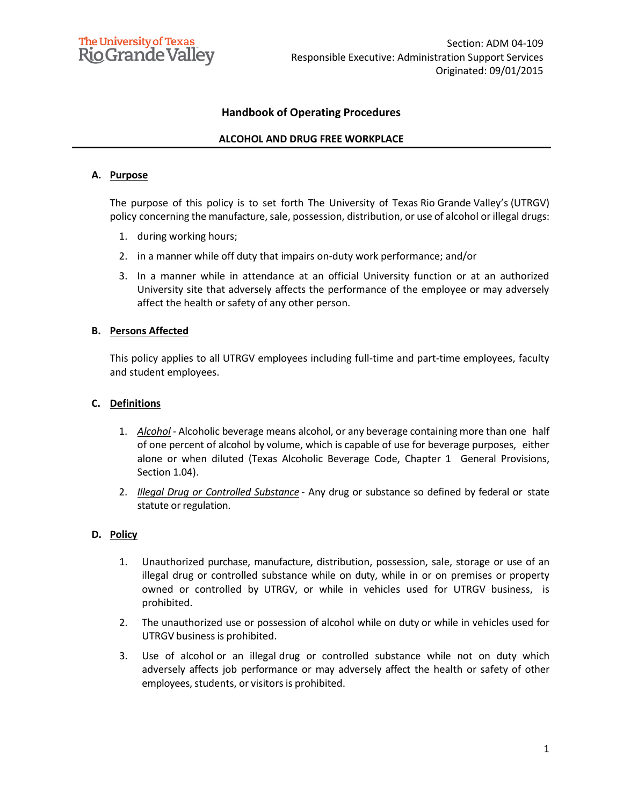# **Handbook of Operating Procedures**

## **ALCOHOL AND DRUG FREE WORKPLACE**

#### **A. Purpose**

The purpose of this policy is to set forth The University of Texas Rio Grande Valley's (UTRGV) policy concerning the manufacture, sale, possession, distribution, or use of alcohol or illegal drugs:

- 1. during working hours;
- 2. in a manner while off duty that impairs on-duty work performance; and/or
- 3. In a manner while in attendance at an official University function or at an authorized University site that adversely affects the performance of the employee or may adversely affect the health or safety of any other person.

#### **B. Persons Affected**

This policy applies to all UTRGV employees including full-time and part-time employees, faculty and student employees.

### **C. Definitions**

- 1. *Alcohol -* Alcoholic beverage means alcohol, or any beverage containing more than one half of one percent of alcohol by volume, which is capable of use for beverage purposes, either alone or when diluted (Texas Alcoholic Beverage Code, Chapter 1 General Provisions, Section 1.04).
- 2. *Illegal Drug or Controlled Substance -* Any drug or substance so defined by federal or state statute or regulation.

### **D. Policy**

- 1. Unauthorized purchase, manufacture, distribution, possession, sale, storage or use of an illegal drug or controlled substance while on duty, while in or on premises or property owned or controlled by UTRGV, or while in vehicles used for UTRGV business, is prohibited.
- 2. The unauthorized use or possession of alcohol while on duty or while in vehicles used for UTRGV business is prohibited.
- 3. Use of alcohol or an illegal drug or controlled substance while not on duty which adversely affects job performance or may adversely affect the health or safety of other employees, students, or visitors is prohibited.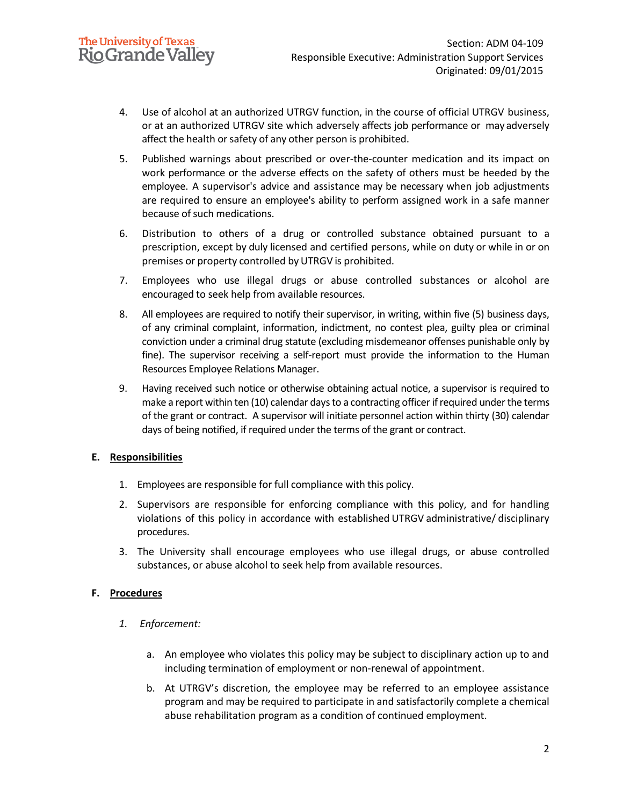- 4. Use of alcohol at an authorized UTRGV function, in the course of official UTRGV business, or at an authorized UTRGV site which adversely affects job performance or may adversely affect the health or safety of any other person is prohibited.
- 5. Published warnings about prescribed or over-the-counter medication and its impact on work performance or the adverse effects on the safety of others must be heeded by the employee. A supervisor's advice and assistance may be necessary when job adjustments are required to ensure an employee's ability to perform assigned work in a safe manner because of such medications.
- 6. Distribution to others of a drug or controlled substance obtained pursuant to a prescription, except by duly licensed and certified persons, while on duty or while in or on premises or property controlled byUTRGV is prohibited.
- 7. Employees who use illegal drugs or abuse controlled substances or alcohol are encouraged to seek help from available resources.
- 8. All employees are required to notify their supervisor, in writing, within five (5) business days, of any criminal complaint, information, indictment, no contest plea, guilty plea or criminal conviction under a criminal drug statute (excluding misdemeanor offenses punishable only by fine). The supervisor receiving a self-report must provide the information to the Human Resources Employee Relations Manager.
- 9. Having received such notice or otherwise obtaining actual notice, a supervisor is required to make a report within ten (10) calendar days to a contracting officer if required under the terms of the grant or contract. A supervisor will initiate personnel action within thirty (30) calendar days of being notified, if required under the terms of the grant or contract.

### **E. Responsibilities**

- 1. Employees are responsible for full compliance with this policy.
- 2. Supervisors are responsible for enforcing compliance with this policy, and for handling violations of this policy in accordance with established UTRGV administrative/ disciplinary procedures.
- 3. The University shall encourage employees who use illegal drugs, or abuse controlled substances, or abuse alcohol to seek help from available resources.

# **F. Procedures**

- *1. Enforcement:*
	- a. An employee who violates this policy may be subject to disciplinary action up to and including termination of employment or non-renewal of appointment.
	- b. At UTRGV's discretion, the employee may be referred to an employee assistance program and may be required to participate in and satisfactorily complete a chemical abuse rehabilitation program as a condition of continued employment.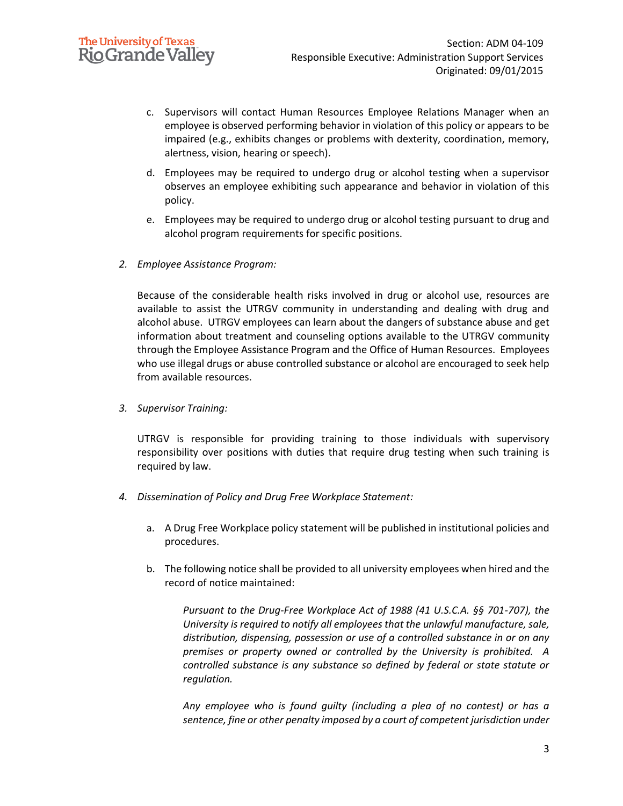- c. Supervisors will contact Human Resources Employee Relations Manager when an employee is observed performing behavior in violation of this policy or appears to be impaired (e.g., exhibits changes or problems with dexterity, coordination, memory, alertness, vision, hearing or speech).
- d. Employees may be required to undergo drug or alcohol testing when a supervisor observes an employee exhibiting such appearance and behavior in violation of this policy.
- e. Employees may be required to undergo drug or alcohol testing pursuant to drug and alcohol program requirements for specific positions.
- *2. Employee Assistance Program:*

Because of the considerable health risks involved in drug or alcohol use, resources are available to assist the UTRGV community in understanding and dealing with drug and alcohol abuse. UTRGV employees can learn about the dangers of substance abuse and get information about treatment and counseling options available to the UTRGV community through the Employee Assistance Program and the Office of Human Resources. Employees who use illegal drugs or abuse controlled substance or alcohol are encouraged to seek help from available resources.

*3. Supervisor Training:*

UTRGV is responsible for providing training to those individuals with supervisory responsibility over positions with duties that require drug testing when such training is required by law.

- *4. Dissemination of Policy and Drug Free Workplace Statement:*
	- a. A Drug Free Workplace policy statement will be published in institutional policies and procedures.
	- b. The following notice shall be provided to all university employees when hired and the record of notice maintained:

*Pursuant to the Drug-Free Workplace Act of 1988 (41 U.S.C.A. §§ 701-707), the University is required to notify all employees that the unlawful manufacture, sale, distribution, dispensing, possession or use of a controlled substance in or on any premises or property owned or controlled by the University is prohibited. A controlled substance is any substance so defined by federal or state statute or regulation.*

*Any employee who is found guilty (including a plea of no contest) or has a sentence, fine or other penalty imposed by a court of competent jurisdiction under*